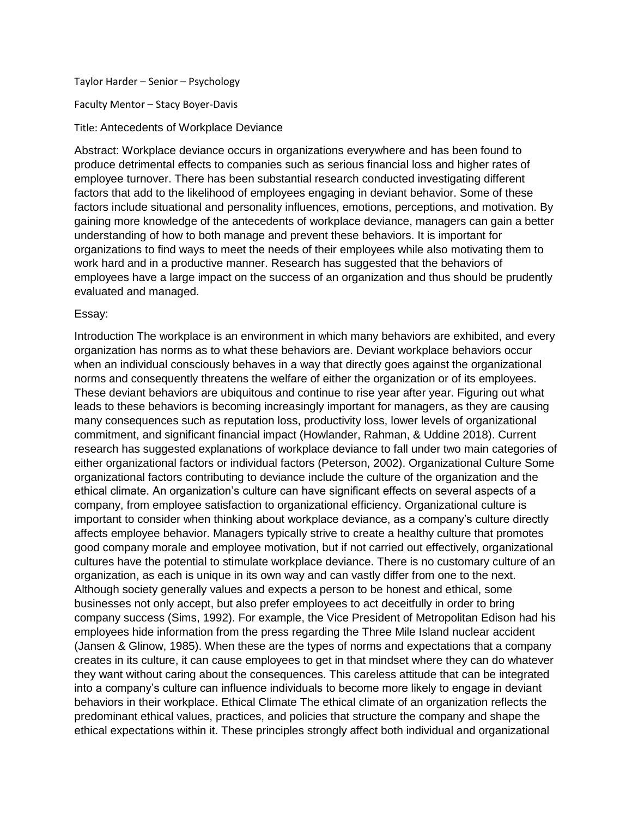Taylor Harder – Senior – Psychology

Faculty Mentor – Stacy Boyer-Davis

Title: Antecedents of Workplace Deviance

Abstract: Workplace deviance occurs in organizations everywhere and has been found to produce detrimental effects to companies such as serious financial loss and higher rates of employee turnover. There has been substantial research conducted investigating different factors that add to the likelihood of employees engaging in deviant behavior. Some of these factors include situational and personality influences, emotions, perceptions, and motivation. By gaining more knowledge of the antecedents of workplace deviance, managers can gain a better understanding of how to both manage and prevent these behaviors. It is important for organizations to find ways to meet the needs of their employees while also motivating them to work hard and in a productive manner. Research has suggested that the behaviors of employees have a large impact on the success of an organization and thus should be prudently evaluated and managed.

Essay:

Introduction The workplace is an environment in which many behaviors are exhibited, and every organization has norms as to what these behaviors are. Deviant workplace behaviors occur when an individual consciously behaves in a way that directly goes against the organizational norms and consequently threatens the welfare of either the organization or of its employees. These deviant behaviors are ubiquitous and continue to rise year after year. Figuring out what leads to these behaviors is becoming increasingly important for managers, as they are causing many consequences such as reputation loss, productivity loss, lower levels of organizational commitment, and significant financial impact (Howlander, Rahman, & Uddine 2018). Current research has suggested explanations of workplace deviance to fall under two main categories of either organizational factors or individual factors (Peterson, 2002). Organizational Culture Some organizational factors contributing to deviance include the culture of the organization and the ethical climate. An organization's culture can have significant effects on several aspects of a company, from employee satisfaction to organizational efficiency. Organizational culture is important to consider when thinking about workplace deviance, as a company's culture directly affects employee behavior. Managers typically strive to create a healthy culture that promotes good company morale and employee motivation, but if not carried out effectively, organizational cultures have the potential to stimulate workplace deviance. There is no customary culture of an organization, as each is unique in its own way and can vastly differ from one to the next. Although society generally values and expects a person to be honest and ethical, some businesses not only accept, but also prefer employees to act deceitfully in order to bring company success (Sims, 1992). For example, the Vice President of Metropolitan Edison had his employees hide information from the press regarding the Three Mile Island nuclear accident (Jansen & Glinow, 1985). When these are the types of norms and expectations that a company creates in its culture, it can cause employees to get in that mindset where they can do whatever they want without caring about the consequences. This careless attitude that can be integrated into a company's culture can influence individuals to become more likely to engage in deviant behaviors in their workplace. Ethical Climate The ethical climate of an organization reflects the predominant ethical values, practices, and policies that structure the company and shape the ethical expectations within it. These principles strongly affect both individual and organizational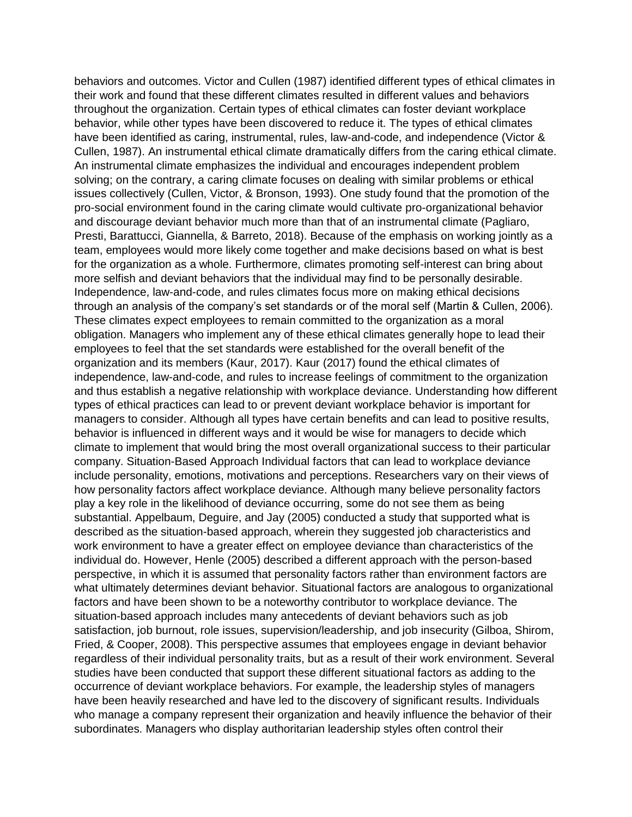behaviors and outcomes. Victor and Cullen (1987) identified different types of ethical climates in their work and found that these different climates resulted in different values and behaviors throughout the organization. Certain types of ethical climates can foster deviant workplace behavior, while other types have been discovered to reduce it. The types of ethical climates have been identified as caring, instrumental, rules, law-and-code, and independence (Victor & Cullen, 1987). An instrumental ethical climate dramatically differs from the caring ethical climate. An instrumental climate emphasizes the individual and encourages independent problem solving; on the contrary, a caring climate focuses on dealing with similar problems or ethical issues collectively (Cullen, Victor, & Bronson, 1993). One study found that the promotion of the pro-social environment found in the caring climate would cultivate pro-organizational behavior and discourage deviant behavior much more than that of an instrumental climate (Pagliaro, Presti, Barattucci, Giannella, & Barreto, 2018). Because of the emphasis on working jointly as a team, employees would more likely come together and make decisions based on what is best for the organization as a whole. Furthermore, climates promoting self-interest can bring about more selfish and deviant behaviors that the individual may find to be personally desirable. Independence, law-and-code, and rules climates focus more on making ethical decisions through an analysis of the company's set standards or of the moral self (Martin & Cullen, 2006). These climates expect employees to remain committed to the organization as a moral obligation. Managers who implement any of these ethical climates generally hope to lead their employees to feel that the set standards were established for the overall benefit of the organization and its members (Kaur, 2017). Kaur (2017) found the ethical climates of independence, law-and-code, and rules to increase feelings of commitment to the organization and thus establish a negative relationship with workplace deviance. Understanding how different types of ethical practices can lead to or prevent deviant workplace behavior is important for managers to consider. Although all types have certain benefits and can lead to positive results, behavior is influenced in different ways and it would be wise for managers to decide which climate to implement that would bring the most overall organizational success to their particular company. Situation-Based Approach Individual factors that can lead to workplace deviance include personality, emotions, motivations and perceptions. Researchers vary on their views of how personality factors affect workplace deviance. Although many believe personality factors play a key role in the likelihood of deviance occurring, some do not see them as being substantial. Appelbaum, Deguire, and Jay (2005) conducted a study that supported what is described as the situation-based approach, wherein they suggested job characteristics and work environment to have a greater effect on employee deviance than characteristics of the individual do. However, Henle (2005) described a different approach with the person-based perspective, in which it is assumed that personality factors rather than environment factors are what ultimately determines deviant behavior. Situational factors are analogous to organizational factors and have been shown to be a noteworthy contributor to workplace deviance. The situation-based approach includes many antecedents of deviant behaviors such as job satisfaction, job burnout, role issues, supervision/leadership, and job insecurity (Gilboa, Shirom, Fried, & Cooper, 2008). This perspective assumes that employees engage in deviant behavior regardless of their individual personality traits, but as a result of their work environment. Several studies have been conducted that support these different situational factors as adding to the occurrence of deviant workplace behaviors. For example, the leadership styles of managers have been heavily researched and have led to the discovery of significant results. Individuals who manage a company represent their organization and heavily influence the behavior of their subordinates. Managers who display authoritarian leadership styles often control their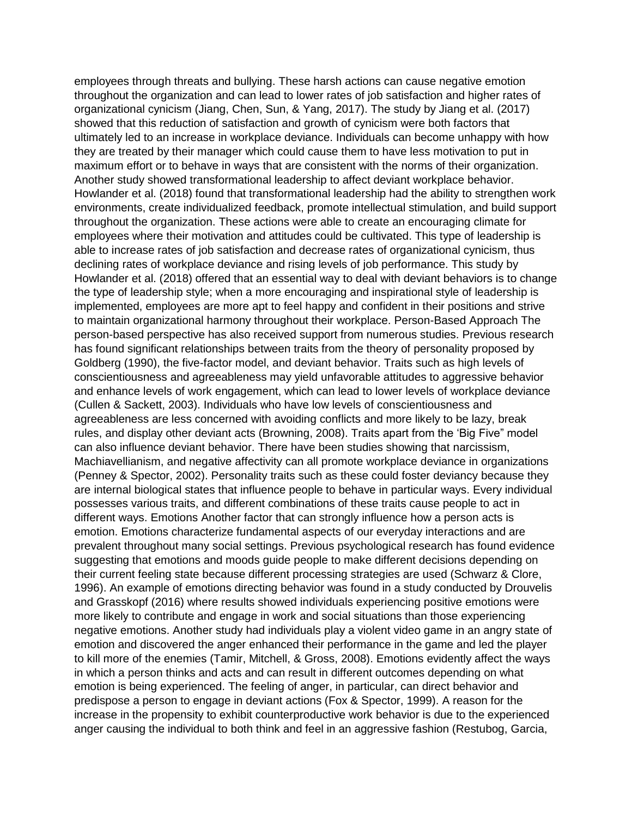employees through threats and bullying. These harsh actions can cause negative emotion throughout the organization and can lead to lower rates of job satisfaction and higher rates of organizational cynicism (Jiang, Chen, Sun, & Yang, 2017). The study by Jiang et al. (2017) showed that this reduction of satisfaction and growth of cynicism were both factors that ultimately led to an increase in workplace deviance. Individuals can become unhappy with how they are treated by their manager which could cause them to have less motivation to put in maximum effort or to behave in ways that are consistent with the norms of their organization. Another study showed transformational leadership to affect deviant workplace behavior. Howlander et al. (2018) found that transformational leadership had the ability to strengthen work environments, create individualized feedback, promote intellectual stimulation, and build support throughout the organization. These actions were able to create an encouraging climate for employees where their motivation and attitudes could be cultivated. This type of leadership is able to increase rates of job satisfaction and decrease rates of organizational cynicism, thus declining rates of workplace deviance and rising levels of job performance. This study by Howlander et al. (2018) offered that an essential way to deal with deviant behaviors is to change the type of leadership style; when a more encouraging and inspirational style of leadership is implemented, employees are more apt to feel happy and confident in their positions and strive to maintain organizational harmony throughout their workplace. Person-Based Approach The person-based perspective has also received support from numerous studies. Previous research has found significant relationships between traits from the theory of personality proposed by Goldberg (1990), the five-factor model, and deviant behavior. Traits such as high levels of conscientiousness and agreeableness may yield unfavorable attitudes to aggressive behavior and enhance levels of work engagement, which can lead to lower levels of workplace deviance (Cullen & Sackett, 2003). Individuals who have low levels of conscientiousness and agreeableness are less concerned with avoiding conflicts and more likely to be lazy, break rules, and display other deviant acts (Browning, 2008). Traits apart from the 'Big Five" model can also influence deviant behavior. There have been studies showing that narcissism, Machiavellianism, and negative affectivity can all promote workplace deviance in organizations (Penney & Spector, 2002). Personality traits such as these could foster deviancy because they are internal biological states that influence people to behave in particular ways. Every individual possesses various traits, and different combinations of these traits cause people to act in different ways. Emotions Another factor that can strongly influence how a person acts is emotion. Emotions characterize fundamental aspects of our everyday interactions and are prevalent throughout many social settings. Previous psychological research has found evidence suggesting that emotions and moods guide people to make different decisions depending on their current feeling state because different processing strategies are used (Schwarz & Clore, 1996). An example of emotions directing behavior was found in a study conducted by Drouvelis and Grasskopf (2016) where results showed individuals experiencing positive emotions were more likely to contribute and engage in work and social situations than those experiencing negative emotions. Another study had individuals play a violent video game in an angry state of emotion and discovered the anger enhanced their performance in the game and led the player to kill more of the enemies (Tamir, Mitchell, & Gross, 2008). Emotions evidently affect the ways in which a person thinks and acts and can result in different outcomes depending on what emotion is being experienced. The feeling of anger, in particular, can direct behavior and predispose a person to engage in deviant actions (Fox & Spector, 1999). A reason for the increase in the propensity to exhibit counterproductive work behavior is due to the experienced anger causing the individual to both think and feel in an aggressive fashion (Restubog, Garcia,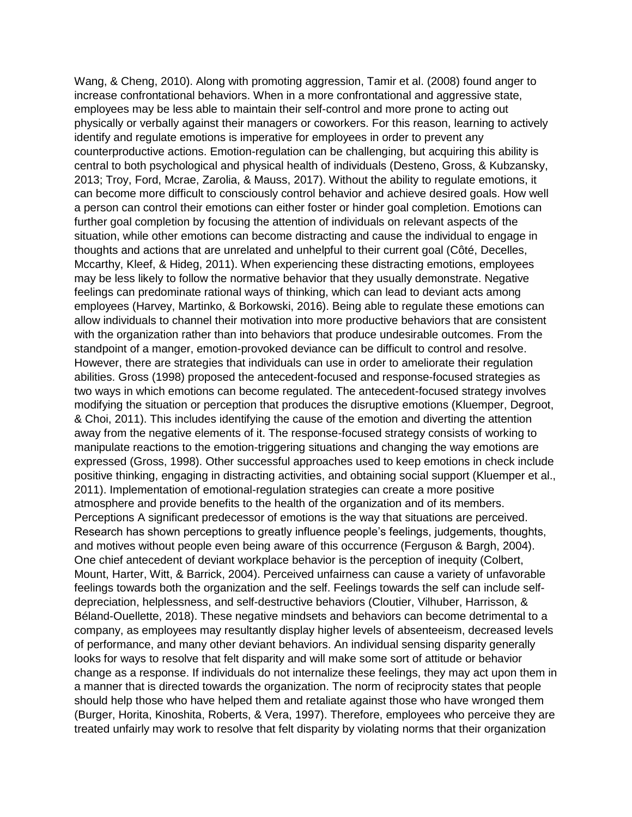Wang, & Cheng, 2010). Along with promoting aggression, Tamir et al. (2008) found anger to increase confrontational behaviors. When in a more confrontational and aggressive state, employees may be less able to maintain their self-control and more prone to acting out physically or verbally against their managers or coworkers. For this reason, learning to actively identify and regulate emotions is imperative for employees in order to prevent any counterproductive actions. Emotion-regulation can be challenging, but acquiring this ability is central to both psychological and physical health of individuals (Desteno, Gross, & Kubzansky, 2013; Troy, Ford, Mcrae, Zarolia, & Mauss, 2017). Without the ability to regulate emotions, it can become more difficult to consciously control behavior and achieve desired goals. How well a person can control their emotions can either foster or hinder goal completion. Emotions can further goal completion by focusing the attention of individuals on relevant aspects of the situation, while other emotions can become distracting and cause the individual to engage in thoughts and actions that are unrelated and unhelpful to their current goal (Côté, Decelles, Mccarthy, Kleef, & Hideg, 2011). When experiencing these distracting emotions, employees may be less likely to follow the normative behavior that they usually demonstrate. Negative feelings can predominate rational ways of thinking, which can lead to deviant acts among employees (Harvey, Martinko, & Borkowski, 2016). Being able to regulate these emotions can allow individuals to channel their motivation into more productive behaviors that are consistent with the organization rather than into behaviors that produce undesirable outcomes. From the standpoint of a manger, emotion-provoked deviance can be difficult to control and resolve. However, there are strategies that individuals can use in order to ameliorate their regulation abilities. Gross (1998) proposed the antecedent-focused and response-focused strategies as two ways in which emotions can become regulated. The antecedent-focused strategy involves modifying the situation or perception that produces the disruptive emotions (Kluemper, Degroot, & Choi, 2011). This includes identifying the cause of the emotion and diverting the attention away from the negative elements of it. The response-focused strategy consists of working to manipulate reactions to the emotion-triggering situations and changing the way emotions are expressed (Gross, 1998). Other successful approaches used to keep emotions in check include positive thinking, engaging in distracting activities, and obtaining social support (Kluemper et al., 2011). Implementation of emotional-regulation strategies can create a more positive atmosphere and provide benefits to the health of the organization and of its members. Perceptions A significant predecessor of emotions is the way that situations are perceived. Research has shown perceptions to greatly influence people's feelings, judgements, thoughts, and motives without people even being aware of this occurrence (Ferguson & Bargh, 2004). One chief antecedent of deviant workplace behavior is the perception of inequity (Colbert, Mount, Harter, Witt, & Barrick, 2004). Perceived unfairness can cause a variety of unfavorable feelings towards both the organization and the self. Feelings towards the self can include selfdepreciation, helplessness, and self-destructive behaviors (Cloutier, Vilhuber, Harrisson, & Béland-Ouellette, 2018). These negative mindsets and behaviors can become detrimental to a company, as employees may resultantly display higher levels of absenteeism, decreased levels of performance, and many other deviant behaviors. An individual sensing disparity generally looks for ways to resolve that felt disparity and will make some sort of attitude or behavior change as a response. If individuals do not internalize these feelings, they may act upon them in a manner that is directed towards the organization. The norm of reciprocity states that people should help those who have helped them and retaliate against those who have wronged them (Burger, Horita, Kinoshita, Roberts, & Vera, 1997). Therefore, employees who perceive they are treated unfairly may work to resolve that felt disparity by violating norms that their organization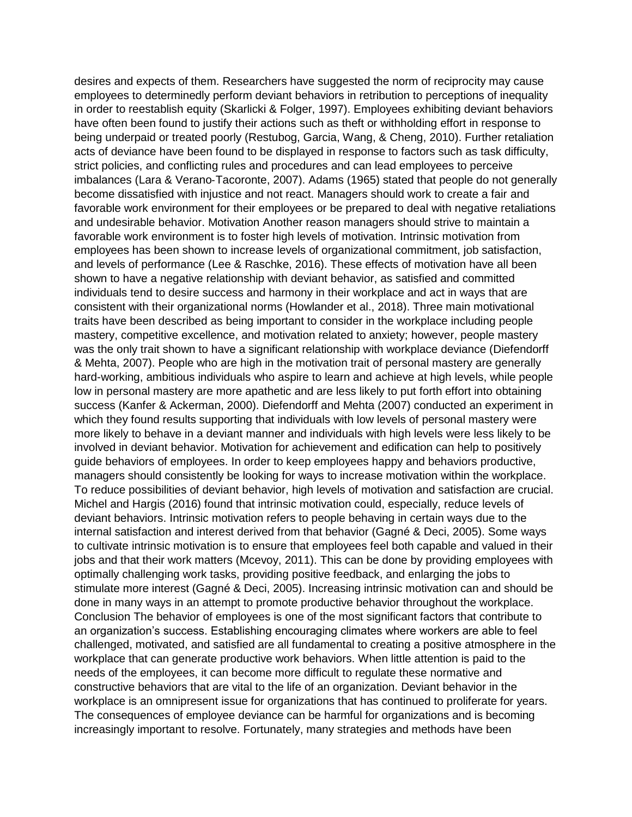desires and expects of them. Researchers have suggested the norm of reciprocity may cause employees to determinedly perform deviant behaviors in retribution to perceptions of inequality in order to reestablish equity (Skarlicki & Folger, 1997). Employees exhibiting deviant behaviors have often been found to justify their actions such as theft or withholding effort in response to being underpaid or treated poorly (Restubog, Garcia, Wang, & Cheng, 2010). Further retaliation acts of deviance have been found to be displayed in response to factors such as task difficulty, strict policies, and conflicting rules and procedures and can lead employees to perceive imbalances (Lara & Verano‐Tacoronte, 2007). Adams (1965) stated that people do not generally become dissatisfied with injustice and not react. Managers should work to create a fair and favorable work environment for their employees or be prepared to deal with negative retaliations and undesirable behavior. Motivation Another reason managers should strive to maintain a favorable work environment is to foster high levels of motivation. Intrinsic motivation from employees has been shown to increase levels of organizational commitment, job satisfaction, and levels of performance (Lee & Raschke, 2016). These effects of motivation have all been shown to have a negative relationship with deviant behavior, as satisfied and committed individuals tend to desire success and harmony in their workplace and act in ways that are consistent with their organizational norms (Howlander et al., 2018). Three main motivational traits have been described as being important to consider in the workplace including people mastery, competitive excellence, and motivation related to anxiety; however, people mastery was the only trait shown to have a significant relationship with workplace deviance (Diefendorff & Mehta, 2007). People who are high in the motivation trait of personal mastery are generally hard-working, ambitious individuals who aspire to learn and achieve at high levels, while people low in personal mastery are more apathetic and are less likely to put forth effort into obtaining success (Kanfer & Ackerman, 2000). Diefendorff and Mehta (2007) conducted an experiment in which they found results supporting that individuals with low levels of personal mastery were more likely to behave in a deviant manner and individuals with high levels were less likely to be involved in deviant behavior. Motivation for achievement and edification can help to positively guide behaviors of employees. In order to keep employees happy and behaviors productive, managers should consistently be looking for ways to increase motivation within the workplace. To reduce possibilities of deviant behavior, high levels of motivation and satisfaction are crucial. Michel and Hargis (2016) found that intrinsic motivation could, especially, reduce levels of deviant behaviors. Intrinsic motivation refers to people behaving in certain ways due to the internal satisfaction and interest derived from that behavior (Gagné & Deci, 2005). Some ways to cultivate intrinsic motivation is to ensure that employees feel both capable and valued in their jobs and that their work matters (Mcevoy, 2011). This can be done by providing employees with optimally challenging work tasks, providing positive feedback, and enlarging the jobs to stimulate more interest (Gagné & Deci, 2005). Increasing intrinsic motivation can and should be done in many ways in an attempt to promote productive behavior throughout the workplace. Conclusion The behavior of employees is one of the most significant factors that contribute to an organization's success. Establishing encouraging climates where workers are able to feel challenged, motivated, and satisfied are all fundamental to creating a positive atmosphere in the workplace that can generate productive work behaviors. When little attention is paid to the needs of the employees, it can become more difficult to regulate these normative and constructive behaviors that are vital to the life of an organization. Deviant behavior in the workplace is an omnipresent issue for organizations that has continued to proliferate for years. The consequences of employee deviance can be harmful for organizations and is becoming increasingly important to resolve. Fortunately, many strategies and methods have been